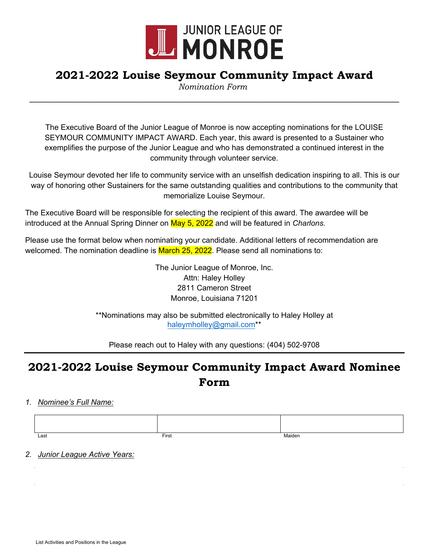

## **2021-2022 Louise Seymour Community Impact Award**

**\_\_\_\_\_\_\_\_\_\_\_\_\_\_\_\_\_\_\_\_\_\_\_\_\_\_\_\_\_\_\_\_\_\_\_\_\_\_\_\_\_\_\_\_\_\_\_\_\_\_\_\_\_\_\_\_\_\_\_\_\_\_\_\_\_\_** *Nomination Form*

The Executive Board of the Junior League of Monroe is now accepting nominations for the LOUISE SEYMOUR COMMUNITY IMPACT AWARD. Each year, this award is presented to a Sustainer who exemplifies the purpose of the Junior League and who has demonstrated a continued interest in the community through volunteer service.

Louise Seymour devoted her life to community service with an unselfish dedication inspiring to all. This is our way of honoring other Sustainers for the same outstanding qualities and contributions to the community that memorialize Louise Seymour.

The Executive Board will be responsible for selecting the recipient of this award. The awardee will be introduced at the Annual Spring Dinner on May 5, 2022 and will be featured in *Charlons.* 

Please use the format below when nominating your candidate. Additional letters of recommendation are welcomed. The nomination deadline is March 25, 2022. Please send all nominations to:

> The Junior League of Monroe, Inc. Attn: Haley Holley 2811 Cameron Street Monroe, Louisiana 71201

\*\*Nominations may also be submitted electronically to Haley Holley at [haleymholley@gmail.com](mailto:haleymholley@gmail.com)\*\*

Please reach out to Haley with any questions: (404) 502-9708

## **2021-2022 Louise Seymour Community Impact Award Nominee Form**

*1. Nominee's Full Name:*

| Last | First | Maiden |
|------|-------|--------|

*2. Junior League Active Years:*